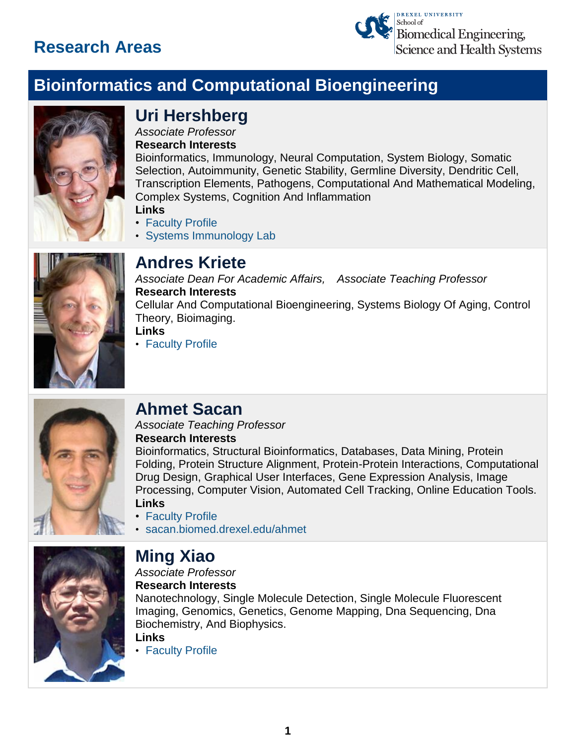

# **Bioinformatics and Computational Bioengineering**



# **Uri Hershberg**

*Associate Professor* **Research Interests**

Bioinformatics, Immunology, Neural Computation, System Biology, Somatic Selection, Autoimmunity, Genetic Stability, Germline Diversity, Dendritic Cell, Transcription Elements, Pathogens, Computational And Mathematical Modeling, Complex Systems, Cognition And Inflammation

- **Links**
- [Faculty Profile](https://drexel.edu/biomed/faculty/core/HershbergUri/)
- [Systems Immunology Lab](http://simlab.biomed.drexel.edu/)



# **Andres Kriete**

*Associate Dean For Academic Affairs, Associate Teaching Professor* **Research Interests** Cellular And Computational Bioengineering, Systems Biology Of Aging, Control Theory, Bioimaging. **Links**

• [Faculty Profile](https://drexel.edu/biomed/faculty/core/KrieteAndres/)



### **Ahmet Sacan**

*Associate Teaching Professor* **Research Interests**

Bioinformatics, Structural Bioinformatics, Databases, Data Mining, Protein Folding, Protein Structure Alignment, Protein-Protein Interactions, Computational Drug Design, Graphical User Interfaces, Gene Expression Analysis, Image Processing, Computer Vision, Automated Cell Tracking, Online Education Tools. **Links**

- [Faculty Profile](https://drexel.edu/biomed/faculty/core/SacanAhmet/)
- [sacan.biomed.drexel.edu/ahmet](http://sacan.biomed.drexel.edu/ahmet/)



### **Ming Xiao**

*Associate Professor*

**Research Interests**

Nanotechnology, Single Molecule Detection, Single Molecule Fluorescent Imaging, Genomics, Genetics, Genome Mapping, Dna Sequencing, Dna Biochemistry, And Biophysics.

**Links**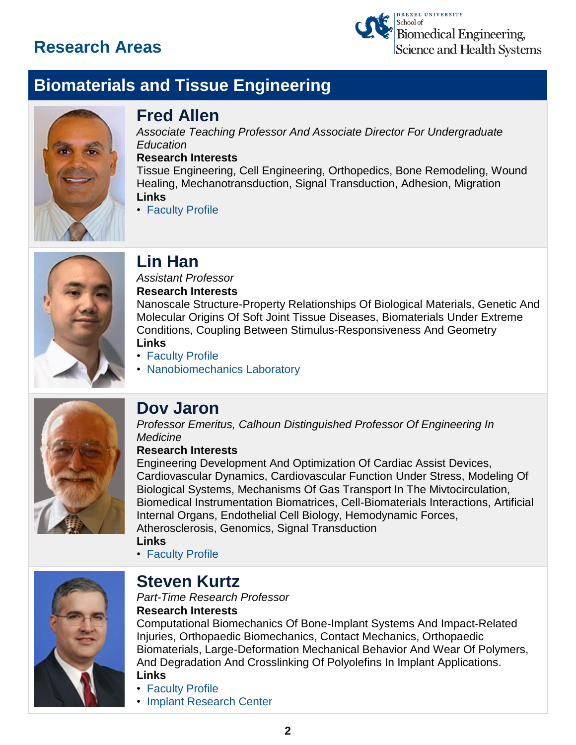

# **Biomaterials and Tissue Engineering**



### **Fred Allen**

*Associate Teaching Professor And Associate Director For Undergraduate Education*

#### **Research Interests**

Tissue Engineering, Cell Engineering, Orthopedics, Bone Remodeling, Wound Healing, Mechanotransduction, Signal Transduction, Adhesion, Migration **Links**

• [Faculty Profile](https://drexel.edu/biomed/faculty/core/AllenFred/)



# **Lin Han**

*Assistant Professor*

#### **Research Interests**

Nanoscale Structure-Property Relationships Of Biological Materials, Genetic And Molecular Origins Of Soft Joint Tissue Diseases, Biomaterials Under Extreme Conditions, Coupling Between Stimulus-Responsiveness And Geometry **Links**

- [Faculty Profile](https://drexel.edu/biomed/faculty/core/HanLin/)
- [Nanobiomechanics Laboratory](http://www.biomed.drexel.edu/new04/nanobiomech/)



# **Dov Jaron**

*Professor Emeritus, Calhoun Distinguished Professor Of Engineering In Medicine*

#### **Research Interests**

Engineering Development And Optimization Of Cardiac Assist Devices, Cardiovascular Dynamics, Cardiovascular Function Under Stress, Modeling Of Biological Systems, Mechanisms Of Gas Transport In The Mivtocirculation, Biomedical Instrumentation Biomatrices, Cell-Biomaterials Interactions, Artificial Internal Organs, Endothelial Cell Biology, Hemodynamic Forces, Atherosclerosis, Genomics, Signal Transduction **Links**

• [Faculty Profile](https://drexel.edu/biomed/faculty/emeritus/JaronDov/)



### **Steven Kurtz**

#### *Part-Time Research Professor* **Research Interests**

Computational Biomechanics Of Bone-Implant Systems And Impact-Related Injuries, Orthopaedic Biomechanics, Contact Mechanics, Orthopaedic Biomaterials, Large-Deformation Mechanical Behavior And Wear Of Polymers, And Degradation And Crosslinking Of Polyolefins In Implant Applications. **Links**

- [Faculty Profile](https://drexel.edu/biomed/faculty/research/KurtzSteven/)
- [Implant Research Center](http://www.biomed.drexel.edu/implantcenter/)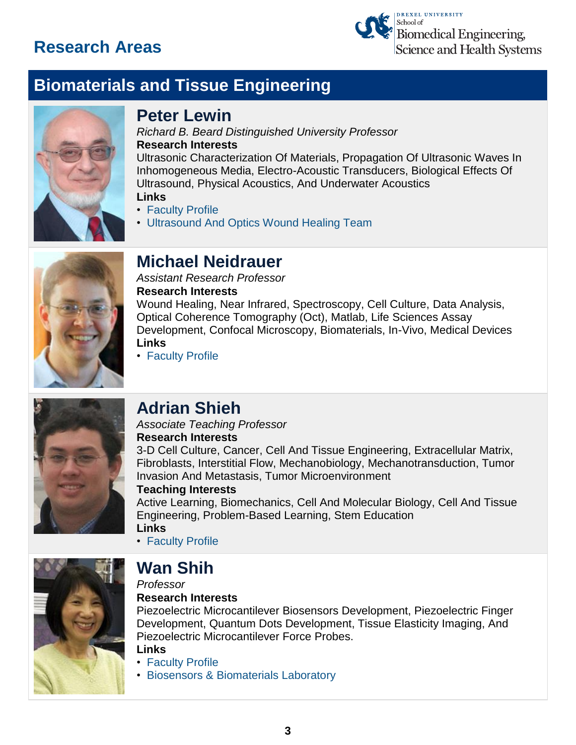

# **Biomaterials and Tissue Engineering**



### **Peter Lewin**

*Richard B. Beard Distinguished University Professor* **Research Interests**

Ultrasonic Characterization Of Materials, Propagation Of Ultrasonic Waves In Inhomogeneous Media, Electro-Acoustic Transducers, Biological Effects Of Ultrasound, Physical Acoustics, And Underwater Acoustics

#### **Links**

- [Faculty Profile](https://drexel.edu/biomed/faculty/core/LewinPeter/)
- [Ultrasound And Optics Wound Healing Team](http://biomed.drexel.edu/new04/ultrasound/)



# **Michael Neidrauer**

*Assistant Research Professor* **Research Interests** Wound Healing, Near Infrared, Spectroscopy, Cell Culture, Data Analysis, Optical Coherence Tomography (Oct), Matlab, Life Sciences Assay Development, Confocal Microscopy, Biomaterials, In-Vivo, Medical Devices **Links**



#### • [Faculty Profile](https://drexel.edu/biomed/faculty/research/NeidrauerMichael/)

# **Adrian Shieh**

#### *Associate Teaching Professor* **Research Interests**

3-D Cell Culture, Cancer, Cell And Tissue Engineering, Extracellular Matrix, Fibroblasts, Interstitial Flow, Mechanobiology, Mechanotransduction, Tumor Invasion And Metastasis, Tumor Microenvironment

#### **Teaching Interests**

Active Learning, Biomechanics, Cell And Molecular Biology, Cell And Tissue Engineering, Problem-Based Learning, Stem Education **Links**

• [Faculty Profile](https://drexel.edu/biomed/faculty/core/ShiehAdrian/)



# **Wan Shih**

*Professor*

#### **Research Interests**

Piezoelectric Microcantilever Biosensors Development, Piezoelectric Finger Development, Quantum Dots Development, Tissue Elasticity Imaging, And Piezoelectric Microcantilever Force Probes.

**Links**

- [Faculty Profile](https://drexel.edu/biomed/faculty/core/ShihWan/)
- [Biosensors & Biomaterials Laboratory](http://biomed.drexel.edu/labs/biosensors-and-biomaterials/)

**3**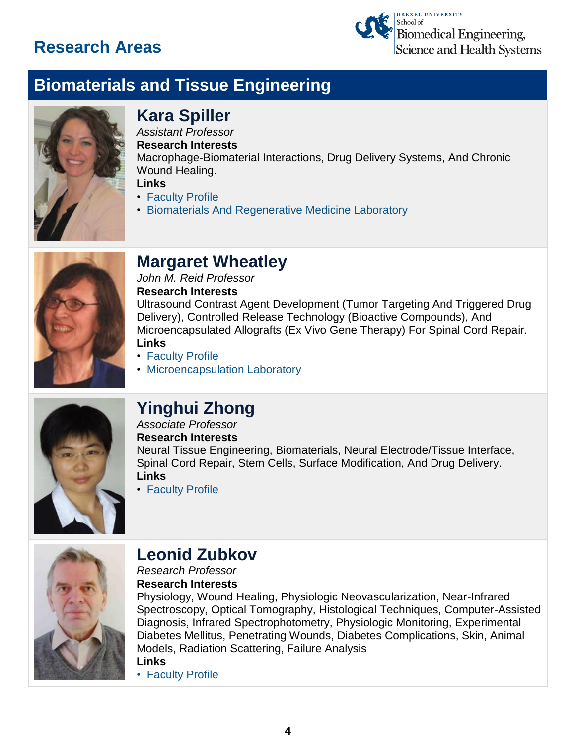

# **Biomaterials and Tissue Engineering**



# **Kara Spiller**

*Assistant Professor* **Research Interests** Macrophage-Biomaterial Interactions, Drug Delivery Systems, And Chronic Wound Healing.

**Links**

- [Faculty Profile](https://drexel.edu/biomed/faculty/core/SpillerKara/)
- [Biomaterials And Regenerative Medicine Laboratory](http://karaspiller.weebly.com/)



# **Margaret Wheatley**

*John M. Reid Professor* **Research Interests**

Ultrasound Contrast Agent Development (Tumor Targeting And Triggered Drug Delivery), Controlled Release Technology (Bioactive Compounds), And Microencapsulated Allografts (Ex Vivo Gene Therapy) For Spinal Cord Repair. **Links**

- [Faculty Profile](https://drexel.edu/biomed/faculty/core/WheatleyMargaret/)
- [Microencapsulation Laboratory](http://www.biomed.drexel.edu/labs/wheatley/index.html)



# **Yinghui Zhong**

#### *Associate Professor* **Research Interests**

Neural Tissue Engineering, Biomaterials, Neural Electrode/Tissue Interface, Spinal Cord Repair, Stem Cells, Surface Modification, And Drug Delivery. **Links**

• [Faculty Profile](https://drexel.edu/biomed/faculty/core/ZhongYinghui/)



# **Leonid Zubkov**

#### *Research Professor* **Research Interests**

Physiology, Wound Healing, Physiologic Neovascularization, Near-Infrared Spectroscopy, Optical Tomography, Histological Techniques, Computer-Assisted Diagnosis, Infrared Spectrophotometry, Physiologic Monitoring, Experimental Diabetes Mellitus, Penetrating Wounds, Diabetes Complications, Skin, Animal Models, Radiation Scattering, Failure Analysis **Links**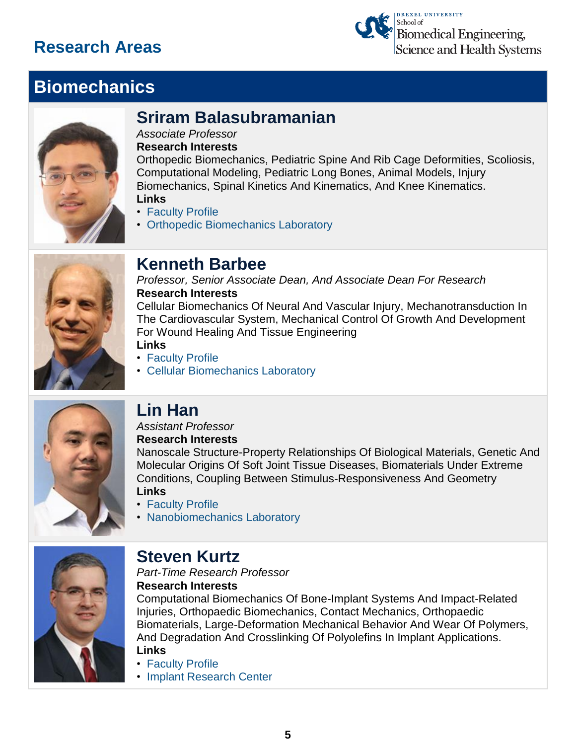

# **Biomechanics**



# **Sriram Balasubramanian**

*Associate Professor*

**Research Interests**

Orthopedic Biomechanics, Pediatric Spine And Rib Cage Deformities, Scoliosis, Computational Modeling, Pediatric Long Bones, Animal Models, Injury Biomechanics, Spinal Kinetics And Kinematics, And Knee Kinematics. **Links**

- [Faculty Profile](https://drexel.edu/biomed/faculty/core/BalasubramanianSriram/)
- [Orthopedic Biomechanics Laboratory](http://biomed.drexel.edu/labs/obl/)



### **Kenneth Barbee**

*Professor, Senior Associate Dean, And Associate Dean For Research* **Research Interests**

Cellular Biomechanics Of Neural And Vascular Injury, Mechanotransduction In The Cardiovascular System, Mechanical Control Of Growth And Development For Wound Healing And Tissue Engineering

**Links**

- [Faculty Profile](https://drexel.edu/biomed/faculty/core/BarbeeKenneth/)
- [Cellular Biomechanics Laboratory](http://biomed.drexel.edu/labs/cellular-biomechanics/)



### **Lin Han**

#### *Assistant Professor* **Research Interests**

Nanoscale Structure-Property Relationships Of Biological Materials, Genetic And Molecular Origins Of Soft Joint Tissue Diseases, Biomaterials Under Extreme Conditions, Coupling Between Stimulus-Responsiveness And Geometry **Links**

- [Faculty Profile](https://drexel.edu/biomed/faculty/core/HanLin/)
- [Nanobiomechanics Laboratory](http://www.biomed.drexel.edu/new04/nanobiomech/)



### **Steven Kurtz**

*Part-Time Research Professor*

**Research Interests**

Computational Biomechanics Of Bone-Implant Systems And Impact-Related Injuries, Orthopaedic Biomechanics, Contact Mechanics, Orthopaedic Biomaterials, Large-Deformation Mechanical Behavior And Wear Of Polymers, And Degradation And Crosslinking Of Polyolefins In Implant Applications. **Links**

- [Faculty Profile](https://drexel.edu/biomed/faculty/research/KurtzSteven/)
- [Implant Research Center](http://www.biomed.drexel.edu/implantcenter/)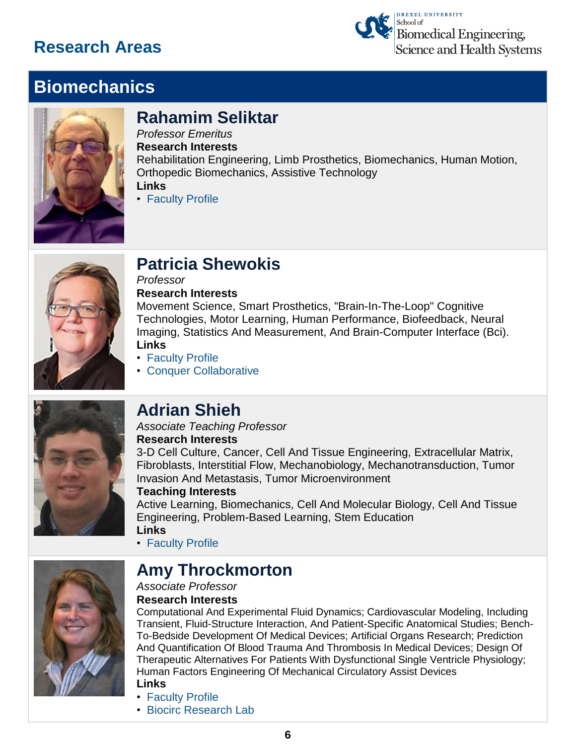

# **Biomechanics**



# **Rahamim Seliktar**

*Professor Emeritus* **Research Interests**

Rehabilitation Engineering, Limb Prosthetics, Biomechanics, Human Motion, Orthopedic Biomechanics, Assistive Technology **Links**

• [Faculty Profile](https://drexel.edu/biomed/faculty/emeritus/SeliktarRami/)



# **Patricia Shewokis**

*Professor* **Research Interests**

Movement Science, Smart Prosthetics, "Brain-In-The-Loop" Cognitive Technologies, Motor Learning, Human Performance, Biofeedback, Neural Imaging, Statistics And Measurement, And Brain-Computer Interface (Bci). **Links**

- [Faculty Profile](https://drexel.edu/biomed/faculty/core/ShewokisPatricia/)
- [Conquer Collaborative](https://drexel.edu/conquer/)



# **Adrian Shieh**

#### *Associate Teaching Professor* **Research Interests**

3-D Cell Culture, Cancer, Cell And Tissue Engineering, Extracellular Matrix, Fibroblasts, Interstitial Flow, Mechanobiology, Mechanotransduction, Tumor Invasion And Metastasis, Tumor Microenvironment

#### **Teaching Interests**

Active Learning, Biomechanics, Cell And Molecular Biology, Cell And Tissue Engineering, Problem-Based Learning, Stem Education **Links**

• [Faculty Profile](https://drexel.edu/biomed/faculty/core/ShiehAdrian/)

### **Amy Throckmorton**

#### *Associate Professor* **Research Interests**

Computational And Experimental Fluid Dynamics; Cardiovascular Modeling, Including Transient, Fluid-Structure Interaction, And Patient-Specific Anatomical Studies; Bench-To-Bedside Development Of Medical Devices; Artificial Organs Research; Prediction And Quantification Of Blood Trauma And Thrombosis In Medical Devices; Design Of Therapeutic Alternatives For Patients With Dysfunctional Single Ventricle Physiology; Human Factors Engineering Of Mechanical Circulatory Assist Devices

- **Links**
- [Faculty Profile](https://drexel.edu/biomed/faculty/core/ThrockmortonAmy/)
- [Biocirc Research Lab](http://biomed.drexel.edu/new04/biocirc-lab/)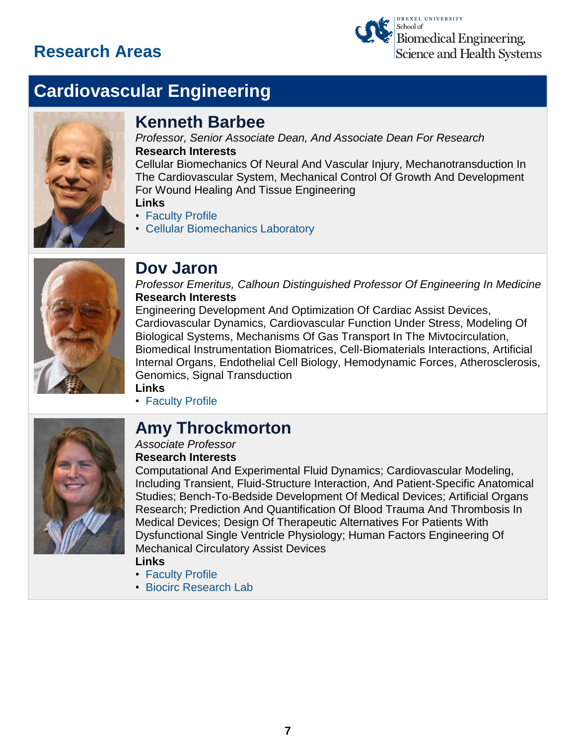

# **Cardiovascular Engineering**



#### **Kenneth Barbee**

*Professor, Senior Associate Dean, And Associate Dean For Research* **Research Interests**

Cellular Biomechanics Of Neural And Vascular Injury, Mechanotransduction In The Cardiovascular System, Mechanical Control Of Growth And Development For Wound Healing And Tissue Engineering **Links**

- [Faculty Profile](https://drexel.edu/biomed/faculty/core/BarbeeKenneth/)
- [Cellular Biomechanics Laboratory](http://biomed.drexel.edu/labs/cellular-biomechanics/)



### **Dov Jaron**

*Professor Emeritus, Calhoun Distinguished Professor Of Engineering In Medicine* **Research Interests**

Engineering Development And Optimization Of Cardiac Assist Devices, Cardiovascular Dynamics, Cardiovascular Function Under Stress, Modeling Of Biological Systems, Mechanisms Of Gas Transport In The Mivtocirculation, Biomedical Instrumentation Biomatrices, Cell-Biomaterials Interactions, Artificial Internal Organs, Endothelial Cell Biology, Hemodynamic Forces, Atherosclerosis, Genomics, Signal Transduction **Links**



• [Faculty Profile](https://drexel.edu/biomed/faculty/emeritus/JaronDov/)

### **Amy Throckmorton**

#### *Associate Professor* **Research Interests**

Computational And Experimental Fluid Dynamics; Cardiovascular Modeling,

Including Transient, Fluid-Structure Interaction, And Patient-Specific Anatomical Studies; Bench-To-Bedside Development Of Medical Devices; Artificial Organs Research; Prediction And Quantification Of Blood Trauma And Thrombosis In Medical Devices; Design Of Therapeutic Alternatives For Patients With Dysfunctional Single Ventricle Physiology; Human Factors Engineering Of Mechanical Circulatory Assist Devices

**Links**

- [Faculty Profile](https://drexel.edu/biomed/faculty/core/ThrockmortonAmy/)
- [Biocirc Research Lab](http://biomed.drexel.edu/new04/biocirc-lab/)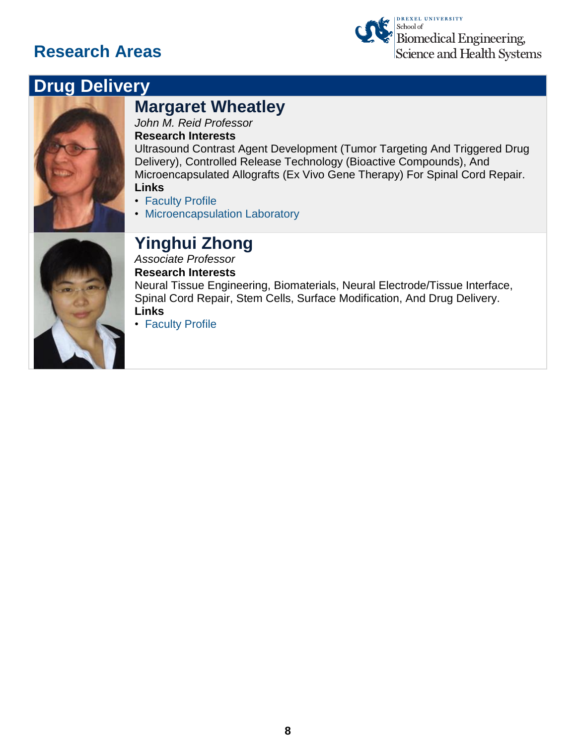

# **Drug Delivery**



### **Margaret Wheatley**

*John M. Reid Professor*

#### **Research Interests**

Ultrasound Contrast Agent Development (Tumor Targeting And Triggered Drug Delivery), Controlled Release Technology (Bioactive Compounds), And Microencapsulated Allografts (Ex Vivo Gene Therapy) For Spinal Cord Repair. **Links**

- 
- [Faculty Profile](https://drexel.edu/biomed/faculty/core/WheatleyMargaret/)
- [Microencapsulation Laboratory](http://www.biomed.drexel.edu/labs/wheatley/index.html)



#### **Yinghui Zhong**

*Associate Professor* **Research Interests** Neural Tissue Engineering, Biomaterials, Neural Electrode/Tissue Interface, Spinal Cord Repair, Stem Cells, Surface Modification, And Drug Delivery. **Links**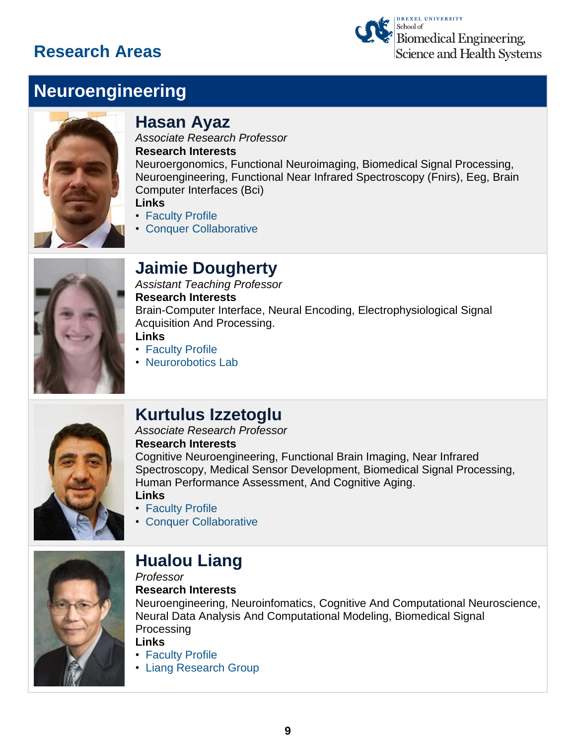

# **Neuroengineering**



#### **Hasan Ayaz**

*Associate Research Professor* **Research Interests** Neuroergonomics, Functional Neuroimaging, Biomedical Signal Processing, Neuroengineering, Functional Near Infrared Spectroscopy (Fnirs), Eeg, Brain Computer Interfaces (Bci)

- **Links** • [Faculty Profile](https://drexel.edu/biomed/faculty/research/AyazHasan/)
- [Conquer Collaborative](https://drexel.edu/conquer/)

### **Jaimie Dougherty**

*Assistant Teaching Professor* **Research Interests** Brain-Computer Interface, Neural Encoding, Electrophysiological Signal Acquisition And Processing. **Links**

- [Faculty Profile](https://drexel.edu/biomed/faculty/core/DoughertyJaimie/)
- [Neurorobotics Lab](http://biomed.drexel.edu/new04/neuroroboticslab/)



### **Kurtulus Izzetoglu**

#### *Associate Research Professor* **Research Interests**

Cognitive Neuroengineering, Functional Brain Imaging, Near Infrared Spectroscopy, Medical Sensor Development, Biomedical Signal Processing, Human Performance Assessment, And Cognitive Aging. **Links**

- [Faculty Profile](https://drexel.edu/biomed/faculty/research/IzzetogluKurtulus/)
- [Conquer Collaborative](https://drexel.edu/conquer/)



# **Hualou Liang**

*Professor*

#### **Research Interests**

Neuroengineering, Neuroinfomatics, Cognitive And Computational Neuroscience, Neural Data Analysis And Computational Modeling, Biomedical Signal **Processing** 

#### **Links**

• [Faculty Profile](https://drexel.edu/biomed/faculty/core/LiangHualou/)

• [Liang Research Group](http://www.biomed.drexel.edu/labs/liang/)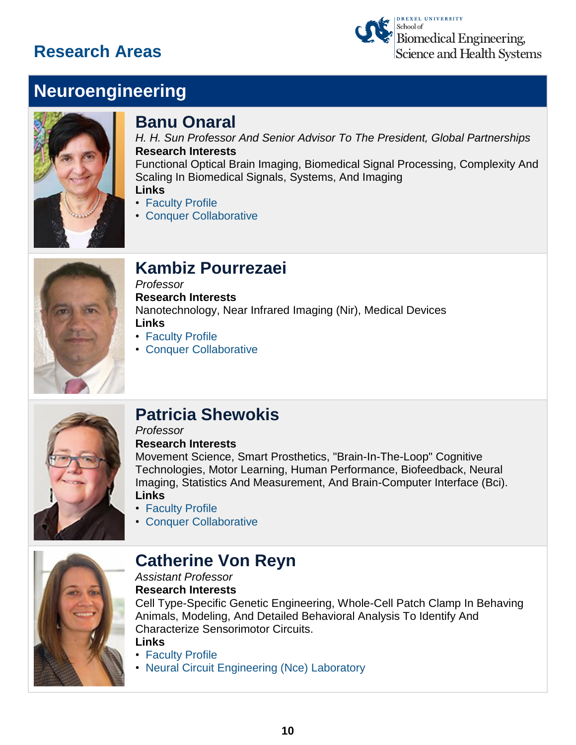

# **Neuroengineering**



#### **Banu Onaral**

*H. H. Sun Professor And Senior Advisor To The President, Global Partnerships* **Research Interests** Functional Optical Brain Imaging, Biomedical Signal Processing, Complexity And Scaling In Biomedical Signals, Systems, And Imaging **Links**

- [Faculty Profile](https://drexel.edu/biomed/faculty/core/OnaralBanu/)
- [Conquer Collaborative](https://drexel.edu/conquer/)



### **Kambiz Pourrezaei**

*Professor* **Research Interests** Nanotechnology, Near Infrared Imaging (Nir), Medical Devices **Links**

- [Faculty Profile](https://drexel.edu/biomed/faculty/core/PourrezaeiKambiz/)
- [Conquer Collaborative](https://drexel.edu/conquer/)



# **Patricia Shewokis**

#### *Professor* **Research Interests**

Movement Science, Smart Prosthetics, "Brain-In-The-Loop" Cognitive Technologies, Motor Learning, Human Performance, Biofeedback, Neural Imaging, Statistics And Measurement, And Brain-Computer Interface (Bci). **Links**

- [Faculty Profile](https://drexel.edu/biomed/faculty/core/ShewokisPatricia/)
- [Conquer Collaborative](https://drexel.edu/conquer/)



### **Catherine Von Reyn**

*Assistant Professor*

**Research Interests**

Cell Type-Specific Genetic Engineering, Whole-Cell Patch Clamp In Behaving Animals, Modeling, And Detailed Behavioral Analysis To Identify And Characterize Sensorimotor Circuits.

#### **Links**

- [Faculty Profile](https://drexel.edu/biomed/faculty/core/vonReynCatherine/)
- [Neural Circuit Engineering \(Nce\) Laboratory](http://biomed.drexel.edu/labs/nce/)